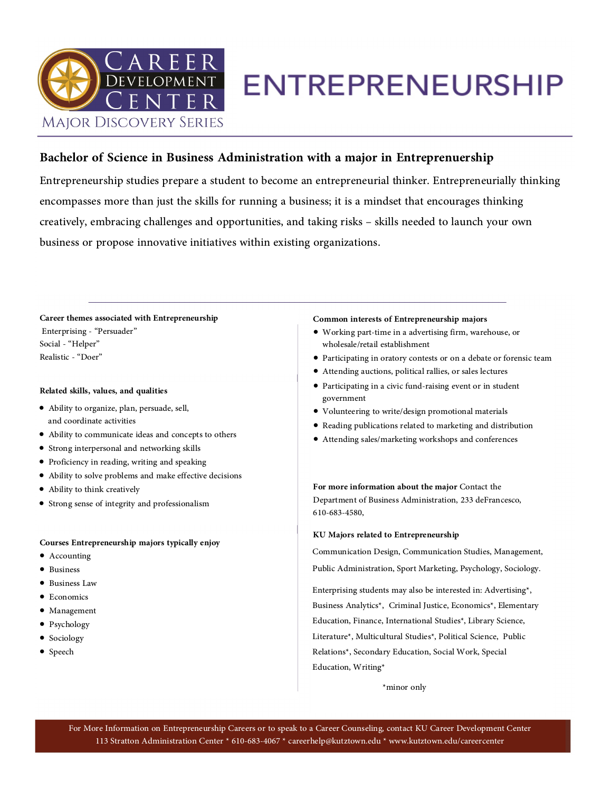

## **ENTREPRENEURSHIP**

### **Bachelor of Science in Business Administration with a major in Entreprenuership**

Entrepreneurship studies prepare a student to become an entrepreneurial thinker. Entrepreneurially thinking<br>encompasses more than just the skills for running a business; it is a mindset that encourages thinking<br>creatively,

**Career themes associated with Entrepreneurship** Enterprising - "Persuader" Social - "Helper" Realistic - "Doer"

### **Related skills, values, and qualities**

- Ability to organize, plan, persuade, sell, and coordinate activities
- Ability to communicate ideas and concepts to others
- Strong interpersonal and networking skills
- Proficiency in reading, writing and speaking
- Ability to solve problems and make effective decisions
- Ability to think creatively
- Strong sense of integrity and professionalism

### **Courses Entrepreneurship majors typically enjoy**

- Accounting
- Business
- Business Law
- Economics
- Management
- Psychology
- Sociology
- Speech

#### **Common interests of Entrepreneurship majors**

- Working part-time in a advertising firm, warehouse, or wholesale/retail establishment
- Participating in oratory contests or on a debate or forensic team
- Attending auctions, political rallies, or sales lectures
- Participating in a civic fund-raising event or in student government
- Volunteering to write/design promotional materials
- Reading publications related to marketing and distribution
- Attending sales/marketing workshops and conferences

**For more information about the major** Contact the Department of Business Administration, 233 deFrancesco, 610-683-4580,

### **KU Majors related to Entrepreneurship**

Communication Design, Communication Studies, Management, Public Administration, Sport Marketing, Psychology, Sociology. Enterprising students may also be interested in: Advertising\*,

Business Analytics\*, Criminal Justice, Economics\*, Elementary<br>Education, Finance, International Studies\*, Library Science,<br>Literature\*, Multicultural Studies\*, Political Science, Public<br>Relations\*, Secondary Education, Soc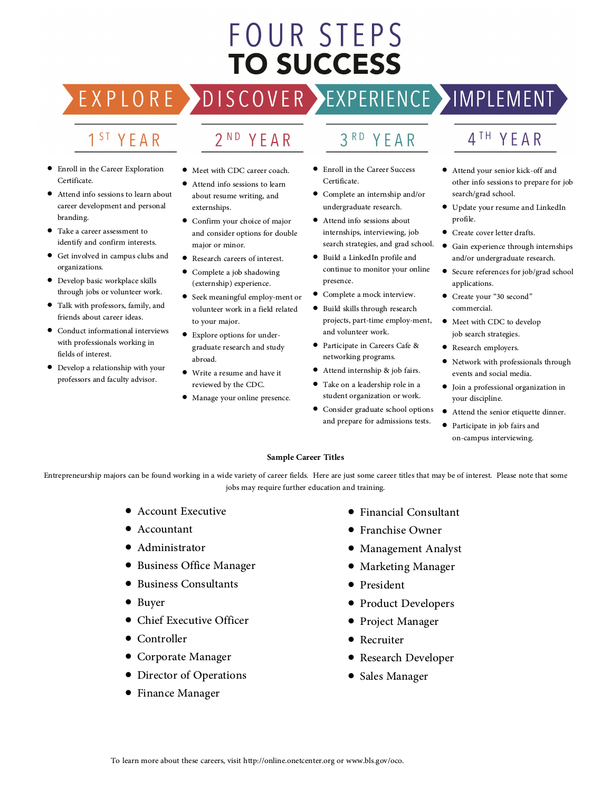## FOUR STEPS **TO SUCCESS**

DISCOVER > EXPLO  $\mathsf{R}$ 

## EXPERIENCE >IMPLEMENT

## 1<sup>ST</sup> YEAR

- Enroll in the Career Exploration Certificate.
- Attend info sessions to learn about career development and personal branding.
- Take a career assessment to<br>identify and confirm interests.
- Get involved in campus clubs and organizations.
- Develop basic workplace skills through jobs or volunteer work.
- Talk with professors, family, and friends about career ideas.
- Conduct informational interviews with professionals working in fields of interest.
- Develop a relationship with your professors and faculty advisor.

• Meet with CDC career coach.

2<sup>ND</sup> YEAR

- Attend info sessions to learn about resume writing, and externships.
- Confirm your choice of major and consider options for double major or minor.
- Research careers of interest.
- Complete a job shadowing (externship) experience.
- Seek meaningful employ-ment or volunteer work in a field related to your major.
- Explore options for under graduate research and study abroad.
- Write a resume and have it reviewed by the CDC.
- Manage your online presence.
- 3RD YEAR
- Enroll in the Career Success Certificate.
- Complete an internship and/or undergraduate research.
- Attend info sessions about internships, interviewing, job search strategies, and grad school.
- Build a LinkedIn profile and continue to monitor your online presence.
- Complete a mock interview.
- Build skills through research projects, part-time employ-ment, and volunteer work.
- Participate in Careers Cafe & networking programs.
- Attend internship & job fairs.
- Take on a leadership role in a student organization or work.
- Consider graduate school options and prepare for admissions tests.

### 4<sup>TH</sup> YEAR

- Attend your senior kick-off and other info sessions to prepare for job search/grad school.
- Update your resume and LinkedIn profile.
- Create cover letter drafts.
- Gain experience through internships<br>and/or undergraduate research.
- Secure references for job/grad school applications.
- Create your "30 second" commercial.
- Meet with CDC to develop job search strategies.
- Research employers.
- Network with professionals through events and social media.
- Join a professional organization in your discipline.
- Attend the senior etiquette dinner.
- Participate in job fairs and on-campus interviewing.

### **Sample Career Titles**

Entrepreneurship majors can be found working in a wide variety of career fields. Here are just some career titles that may be of interest. Please note that some jobs may require further education and training.

- Account Executive
- Accountant
- Administrator
- Business Office Manager
- Business Consultants
- Buyer
- Chief Executive Officer
- Controller
- Corporate Manager
- Director of Operations
- Finance Manager
- Financial Consultant
- Franchise Owner
- Management Analyst
- Marketing Manager
- President
- Product Developers
- Project Manager
- Recruiter
- Research Developer
- Sales Manager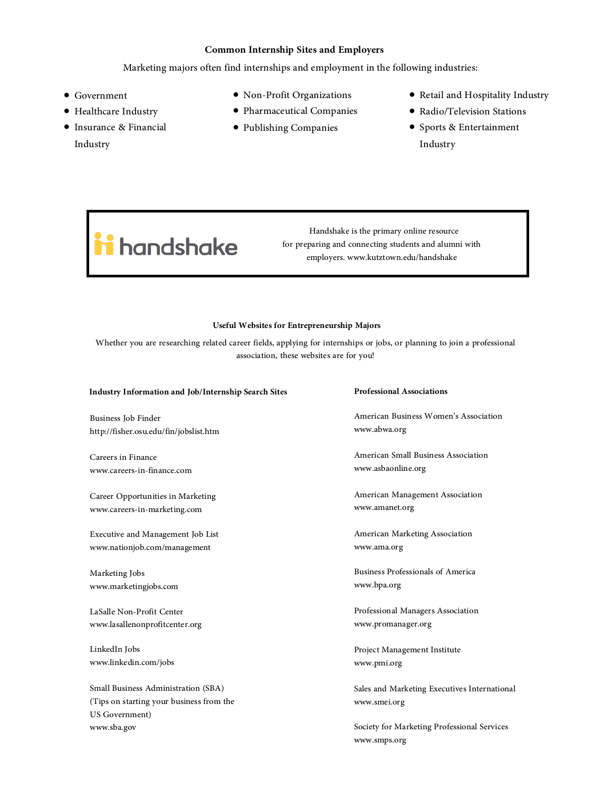### **Common Internship Sites and Employers**

### Marketing majors often find internships and employment in the following industries:

- Government
- Healthcare Industry
- Insurance & Financial Industry
- Non-Profit Organizations
- Pharmaceutical Companies
- Publishing Companies
- Retail and Hospitality Industry
- Radio/Television Stations
- Sports & Entertainment Industry
	-

# ii handshake

Handshake is the primary online resource for preparing and connecting students and alumni with employers. www.kutztown.edu/handshake

### **Useful Websites for Entrepreneurship Majors**

Whether you are researching related career fields, applying for internships or jobs, or planning to join a professional association, these websites are for you!

#### **Industry Information and Job/Internship Search Sites**

Business Job Finder http://fisher.osu.edu/fin/jobslist.htm

Careers in Finance www.careers-in-finance.com

Career Opportunities in Marketing www.careers-in-marketing.com

Executive and Management Job List www.nationjob.com/management

Marketing Jobs<br>www.marketingjobs.com<br>LaSalle Non-Profit Center<br>www.lasallenonprofitcenter.org<br>LinkedIn Jobs<br>www.linkedin.com/jobs

Small Business Administration (SBA) (Tips on starting your business from the US Government) www.sba.gov

#### **Professional Associations**

American Business Women's Association www.abwa.org

American Small Business Association www.asbaonline.org

American Management Association www.amanet.org

American Marketing Association www.ama.org

Business Professionals of America www.bpa.org

Professional Managers Association www.promanager.org

Project Management Institute www.pmi.org

Sales and Marketing Executives International www.smei.org Society for Marketing Professional Services www.smps.org